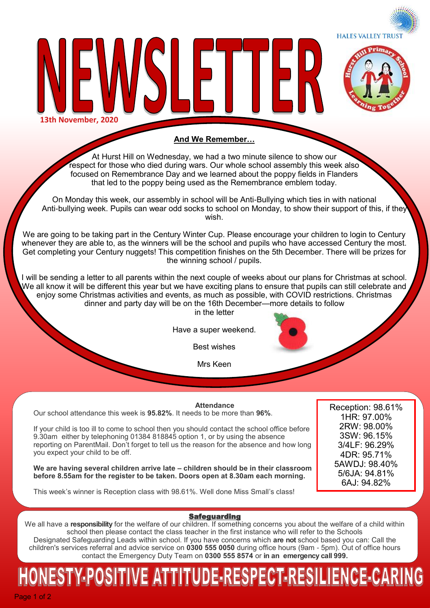



**13th November, 2020**

#### **And We Remember…**

At Hurst Hill on Wednesday, we had a two minute silence to show our respect for those who died during wars. Our whole school assembly this week also focused on Remembrance Day and we learned about the poppy fields in Flanders that led to the poppy being used as the Remembrance emblem today.

On Monday this week, our assembly in school will be Anti-Bullying which ties in with national Anti-bullying week. Pupils can wear odd socks to school on Monday, to show their support of this, if they wish.

We are going to be taking part in the Century Winter Cup. Please encourage your children to login to Century whenever they are able to, as the winners will be the school and pupils who have accessed Century the most. Get completing your Century nuggets! This competition finishes on the 5th December. There will be prizes for the winning school / pupils.

I will be sending a letter to all parents within the next couple of weeks about our plans for Christmas at school. We all know it will be different this year but we have exciting plans to ensure that pupils can still celebrate and enjoy some Christmas activities and events, as much as possible, with COVID restrictions. Christmas dinner and party day will be on the 16th December—more details to follow

in the letter

Have a super weekend.

Best wishes

Mrs Keen

#### **Attendance**

Our school attendance this week is **95.82%**. It needs to be more than **96%**.

If your child is too ill to come to school then you should contact the school office before 9.30am either by telephoning 01384 818845 option 1, or by using the absence reporting on ParentMail. Don't forget to tell us the reason for the absence and how long you expect your child to be off.

**We are having several children arrive late – children should be in their classroom before 8.55am for the register to be taken. Doors open at 8.30am each morning.** 

Reception: 98.61% 1HR: 97.00% 2RW: 98.00% 3SW: 96.15% 3/4LF: 96.29% 4DR: 95.71% 5AWDJ: 98.40% 5/6JA: 94.81% 6AJ: 94.82%

This week's winner is Reception class with 98.61%. Well done Miss Small's class!

#### **Safeguarding**

We all have a **responsibility** for the welfare of our children. If something concerns you about the welfare of a child within school then please contact the class teacher in the first instance who will refer to the Schools Designated Safeguarding Leads within school. If you have concerns which **are not** school based you can: Call the children's services referral and advice service on **0300 555 0050** during office hours (9am - 5pm). Out of office hours contact the Emergency Duty Team on **0300 555 8574** or **in an emergency call 999.** 

# ESTY-POSITIVE ATTITUDE-RESPECT-RESILIENCE-CARIN

Page 1 of 2